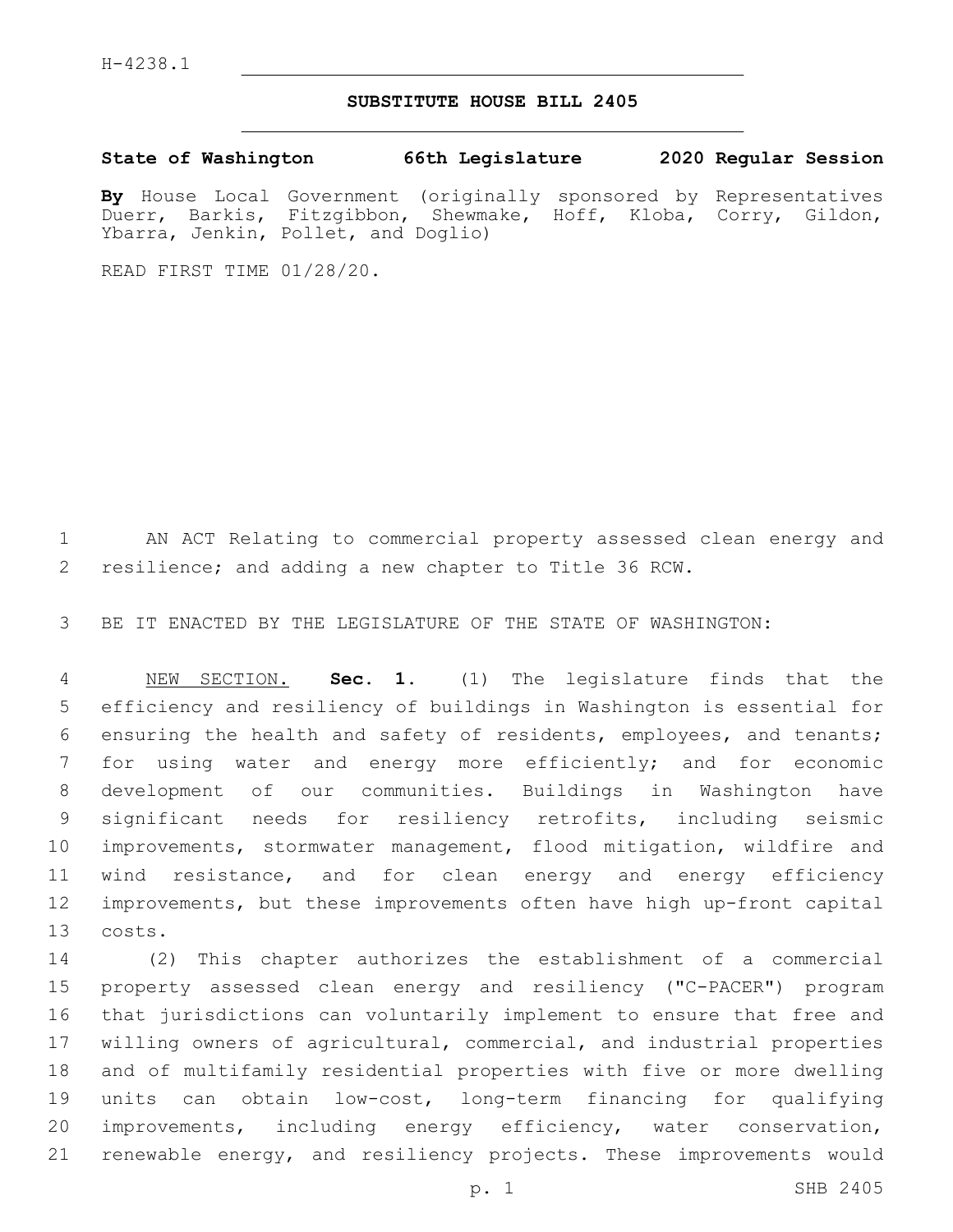## **SUBSTITUTE HOUSE BILL 2405**

**State of Washington 66th Legislature 2020 Regular Session**

**By** House Local Government (originally sponsored by Representatives Duerr, Barkis, Fitzgibbon, Shewmake, Hoff, Kloba, Corry, Gildon, Ybarra, Jenkin, Pollet, and Doglio)

READ FIRST TIME 01/28/20.

 AN ACT Relating to commercial property assessed clean energy and resilience; and adding a new chapter to Title 36 RCW.

BE IT ENACTED BY THE LEGISLATURE OF THE STATE OF WASHINGTON:

 NEW SECTION. **Sec. 1.** (1) The legislature finds that the efficiency and resiliency of buildings in Washington is essential for ensuring the health and safety of residents, employees, and tenants; for using water and energy more efficiently; and for economic development of our communities. Buildings in Washington have significant needs for resiliency retrofits, including seismic improvements, stormwater management, flood mitigation, wildfire and wind resistance, and for clean energy and energy efficiency improvements, but these improvements often have high up-front capital costs.

 (2) This chapter authorizes the establishment of a commercial property assessed clean energy and resiliency ("C-PACER") program that jurisdictions can voluntarily implement to ensure that free and willing owners of agricultural, commercial, and industrial properties and of multifamily residential properties with five or more dwelling units can obtain low-cost, long-term financing for qualifying improvements, including energy efficiency, water conservation, renewable energy, and resiliency projects. These improvements would

p. 1 SHB 2405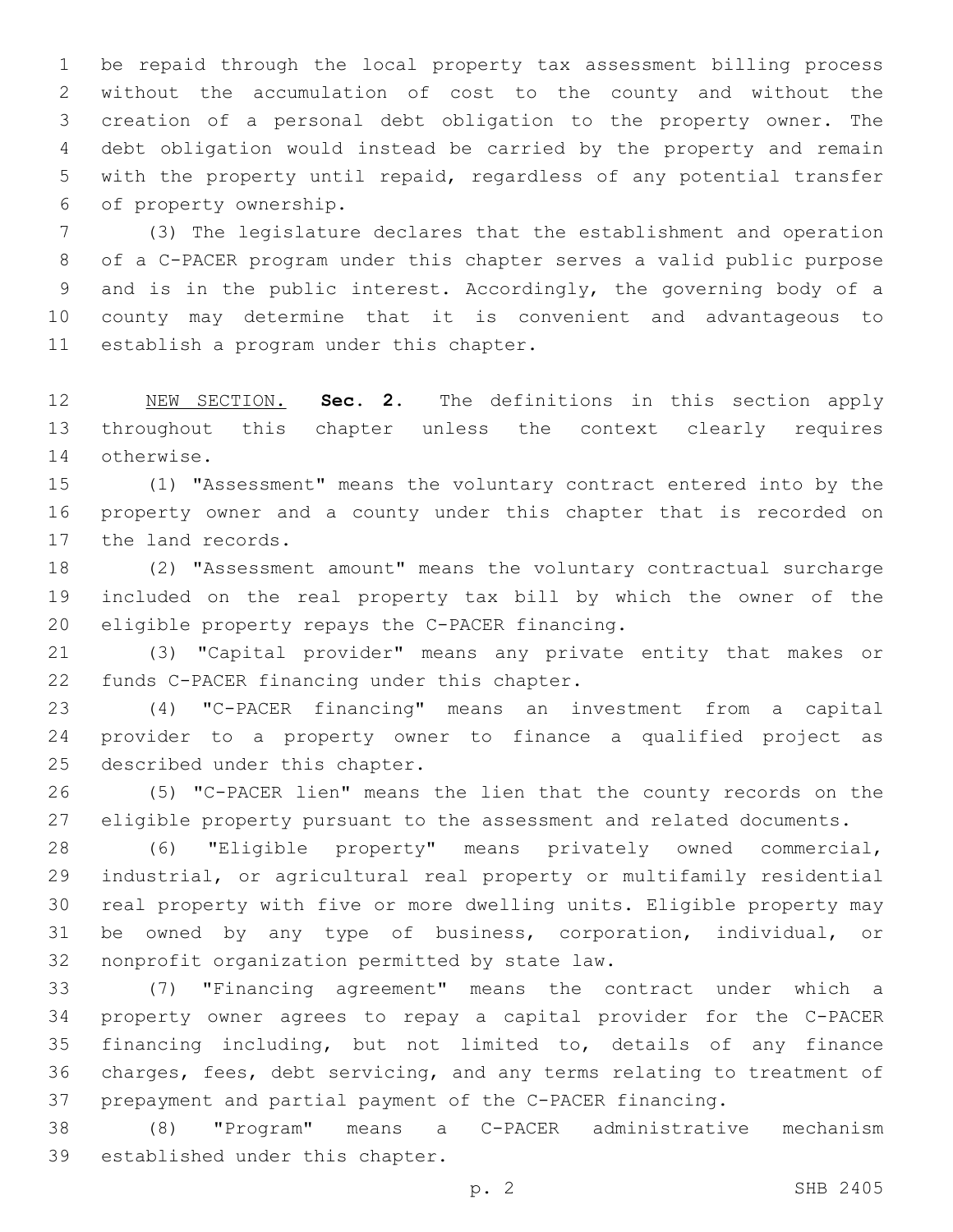be repaid through the local property tax assessment billing process without the accumulation of cost to the county and without the creation of a personal debt obligation to the property owner. The debt obligation would instead be carried by the property and remain with the property until repaid, regardless of any potential transfer 6 of property ownership.

 (3) The legislature declares that the establishment and operation of a C-PACER program under this chapter serves a valid public purpose and is in the public interest. Accordingly, the governing body of a county may determine that it is convenient and advantageous to 11 establish a program under this chapter.

 NEW SECTION. **Sec. 2.** The definitions in this section apply throughout this chapter unless the context clearly requires otherwise.

 (1) "Assessment" means the voluntary contract entered into by the property owner and a county under this chapter that is recorded on 17 the land records.

 (2) "Assessment amount" means the voluntary contractual surcharge included on the real property tax bill by which the owner of the 20 eligible property repays the C-PACER financing.

 (3) "Capital provider" means any private entity that makes or 22 funds C-PACER financing under this chapter.

 (4) "C-PACER financing" means an investment from a capital provider to a property owner to finance a qualified project as 25 described under this chapter.

 (5) "C-PACER lien" means the lien that the county records on the eligible property pursuant to the assessment and related documents.

 (6) "Eligible property" means privately owned commercial, industrial, or agricultural real property or multifamily residential real property with five or more dwelling units. Eligible property may be owned by any type of business, corporation, individual, or 32 nonprofit organization permitted by state law.

 (7) "Financing agreement" means the contract under which a property owner agrees to repay a capital provider for the C-PACER financing including, but not limited to, details of any finance charges, fees, debt servicing, and any terms relating to treatment of prepayment and partial payment of the C-PACER financing.

 (8) "Program" means a C-PACER administrative mechanism 39 established under this chapter.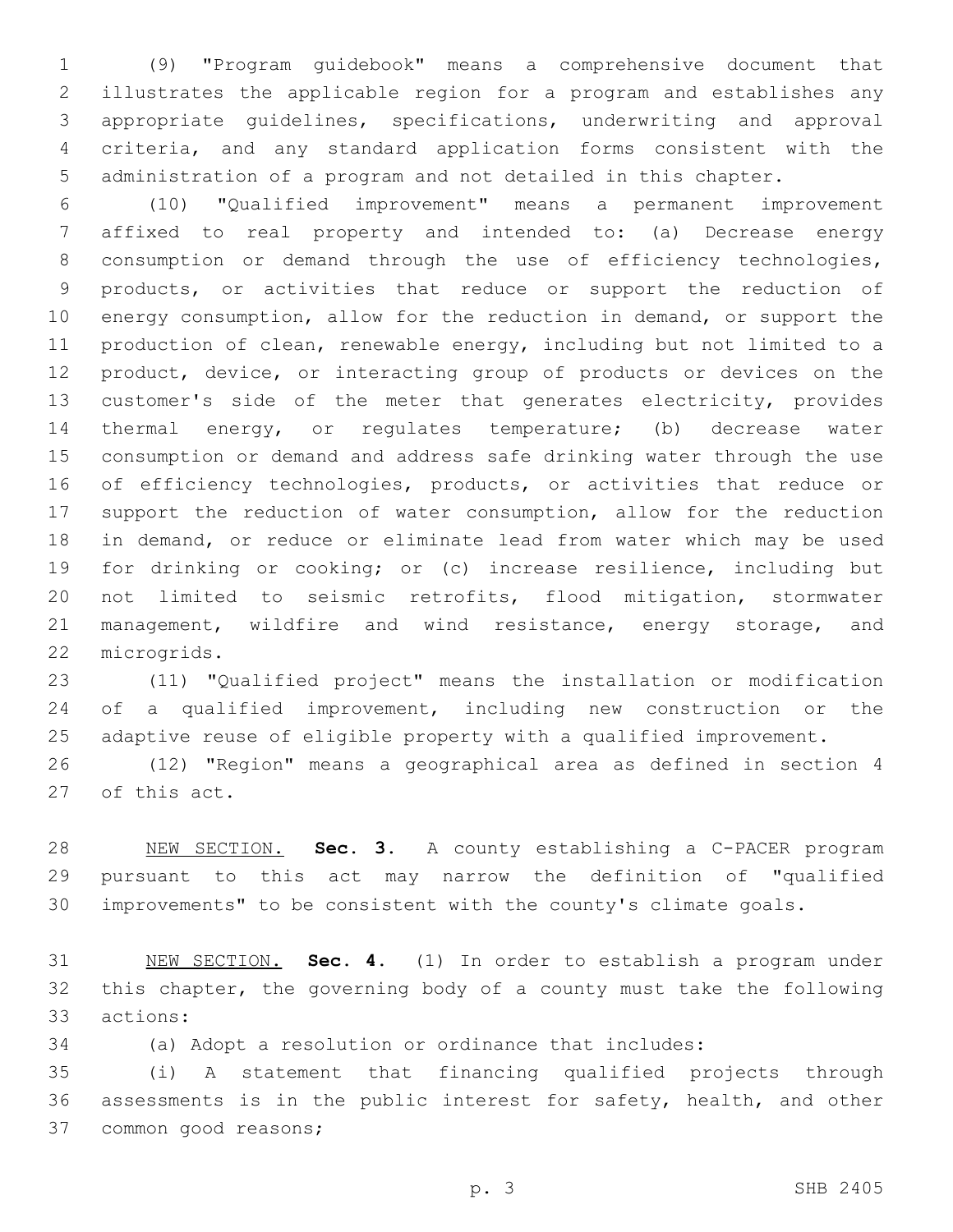(9) "Program guidebook" means a comprehensive document that illustrates the applicable region for a program and establishes any appropriate guidelines, specifications, underwriting and approval criteria, and any standard application forms consistent with the administration of a program and not detailed in this chapter.

 (10) "Qualified improvement" means a permanent improvement affixed to real property and intended to: (a) Decrease energy consumption or demand through the use of efficiency technologies, products, or activities that reduce or support the reduction of energy consumption, allow for the reduction in demand, or support the production of clean, renewable energy, including but not limited to a product, device, or interacting group of products or devices on the 13 customer's side of the meter that generates electricity, provides thermal energy, or regulates temperature; (b) decrease water consumption or demand and address safe drinking water through the use 16 of efficiency technologies, products, or activities that reduce or support the reduction of water consumption, allow for the reduction in demand, or reduce or eliminate lead from water which may be used for drinking or cooking; or (c) increase resilience, including but not limited to seismic retrofits, flood mitigation, stormwater 21 management, wildfire and wind resistance, energy storage, and 22 microgrids.

 (11) "Qualified project" means the installation or modification of a qualified improvement, including new construction or the adaptive reuse of eligible property with a qualified improvement.

 (12) "Region" means a geographical area as defined in section 4 27 of this act.

 NEW SECTION. **Sec. 3.** A county establishing a C-PACER program pursuant to this act may narrow the definition of "qualified improvements" to be consistent with the county's climate goals.

 NEW SECTION. **Sec. 4.** (1) In order to establish a program under this chapter, the governing body of a county must take the following actions:

(a) Adopt a resolution or ordinance that includes:

 (i) A statement that financing qualified projects through assessments is in the public interest for safety, health, and other 37 common good reasons;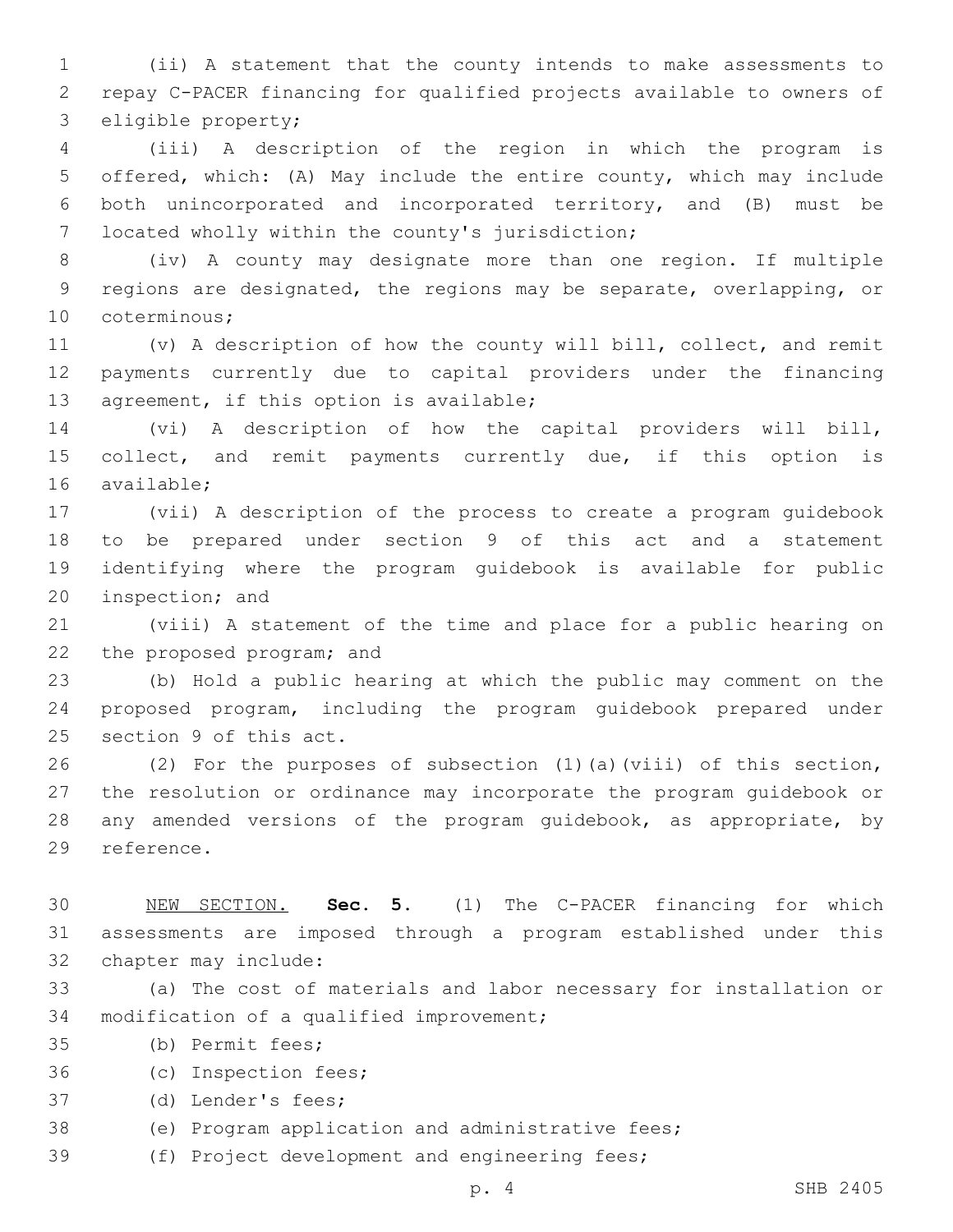1 (ii) A statement that the county intends to make assessments to 2 repay C-PACER financing for qualified projects available to owners of 3 eligible property;

 (iii) A description of the region in which the program is offered, which: (A) May include the entire county, which may include both unincorporated and incorporated territory, and (B) must be 7 located wholly within the county's jurisdiction;

8 (iv) A county may designate more than one region. If multiple 9 regions are designated, the regions may be separate, overlapping, or 10 coterminous;

11 (v) A description of how the county will bill, collect, and remit 12 payments currently due to capital providers under the financing 13 agreement, if this option is available;

14 (vi) A description of how the capital providers will bill, 15 collect, and remit payments currently due, if this option is 16 available:

 (vii) A description of the process to create a program guidebook to be prepared under section 9 of this act and a statement identifying where the program guidebook is available for public 20 inspection; and

21 (viii) A statement of the time and place for a public hearing on 22 the proposed program; and

23 (b) Hold a public hearing at which the public may comment on the 24 proposed program, including the program guidebook prepared under 25 section 9 of this act.

26 (2) For the purposes of subsection (1)(a)(viii) of this section, 27 the resolution or ordinance may incorporate the program guidebook or 28 any amended versions of the program guidebook, as appropriate, by 29 reference.

30 NEW SECTION. **Sec. 5.** (1) The C-PACER financing for which 31 assessments are imposed through a program established under this 32 chapter may include:

33 (a) The cost of materials and labor necessary for installation or 34 modification of a qualified improvement;

35 (b) Permit fees;

36 (c) Inspection fees;

37 (d) Lender's fees;

38 (e) Program application and administrative fees;

39 (f) Project development and engineering fees;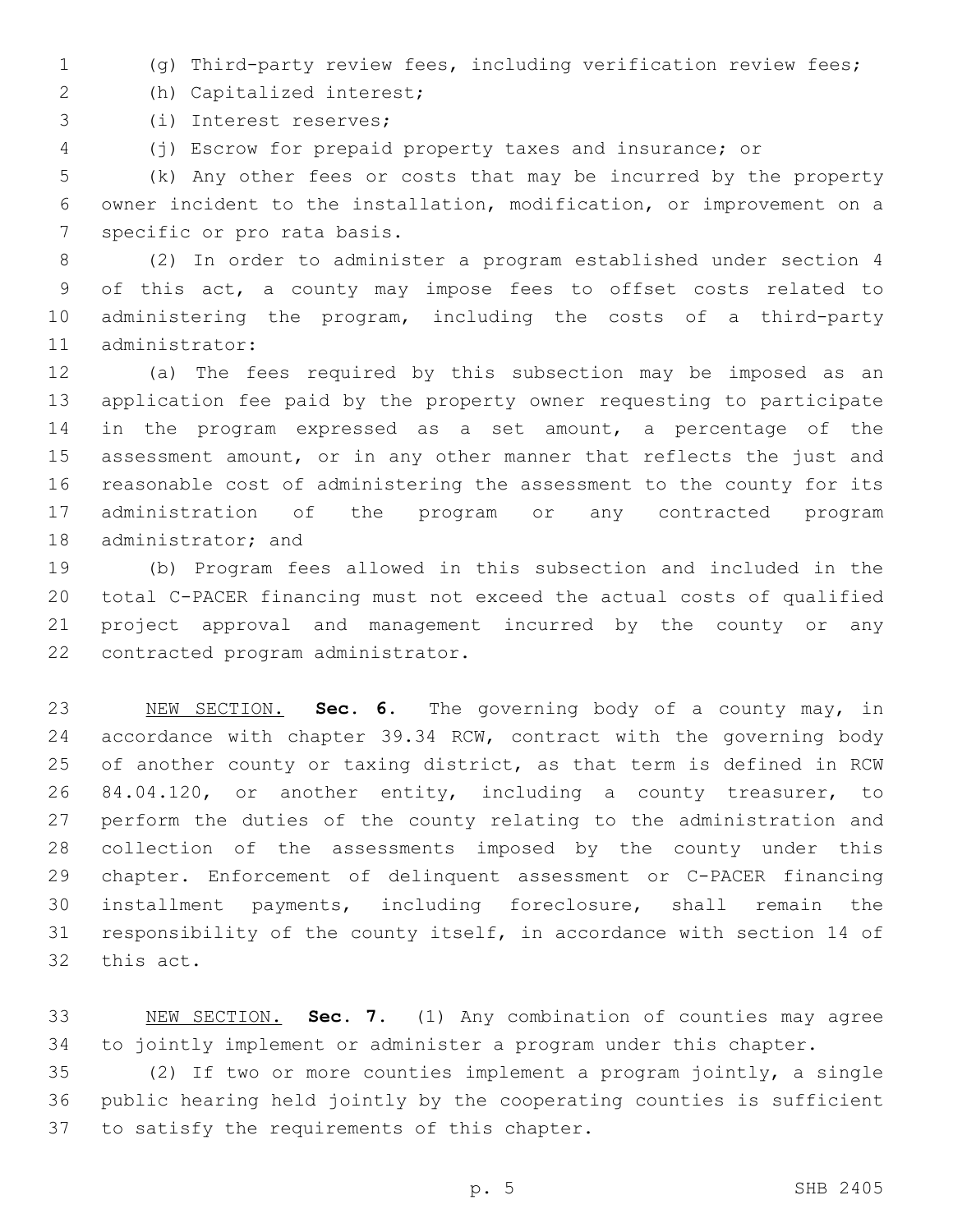- (g) Third-party review fees, including verification review fees;
- (h) Capitalized interest;2
- 3 (i) Interest reserves;
- (j) Escrow for prepaid property taxes and insurance; or

 (k) Any other fees or costs that may be incurred by the property owner incident to the installation, modification, or improvement on a 7 specific or pro rata basis.

 (2) In order to administer a program established under section 4 of this act, a county may impose fees to offset costs related to administering the program, including the costs of a third-party 11 administrator:

 (a) The fees required by this subsection may be imposed as an application fee paid by the property owner requesting to participate in the program expressed as a set amount, a percentage of the 15 assessment amount, or in any other manner that reflects the just and reasonable cost of administering the assessment to the county for its administration of the program or any contracted program 18 administrator; and

 (b) Program fees allowed in this subsection and included in the total C-PACER financing must not exceed the actual costs of qualified project approval and management incurred by the county or any 22 contracted program administrator.

 NEW SECTION. **Sec. 6.** The governing body of a county may, in accordance with chapter 39.34 RCW, contract with the governing body of another county or taxing district, as that term is defined in RCW 84.04.120, or another entity, including a county treasurer, to perform the duties of the county relating to the administration and collection of the assessments imposed by the county under this chapter. Enforcement of delinquent assessment or C-PACER financing installment payments, including foreclosure, shall remain the responsibility of the county itself, in accordance with section 14 of this act.

 NEW SECTION. **Sec. 7.** (1) Any combination of counties may agree to jointly implement or administer a program under this chapter.

 (2) If two or more counties implement a program jointly, a single public hearing held jointly by the cooperating counties is sufficient 37 to satisfy the requirements of this chapter.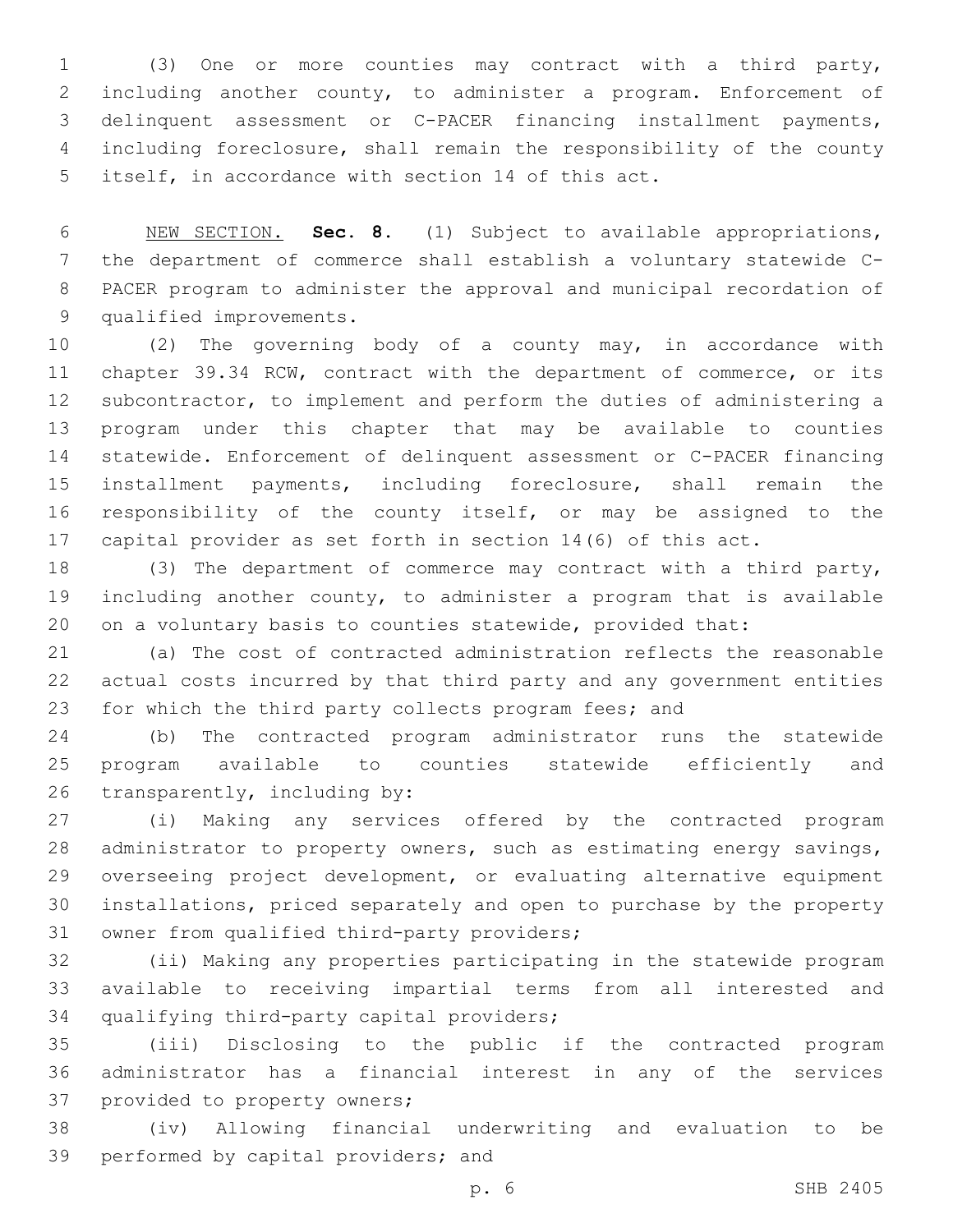(3) One or more counties may contract with a third party, including another county, to administer a program. Enforcement of delinquent assessment or C-PACER financing installment payments, including foreclosure, shall remain the responsibility of the county 5 itself, in accordance with section 14 of this act.

 NEW SECTION. **Sec. 8.** (1) Subject to available appropriations, the department of commerce shall establish a voluntary statewide C- PACER program to administer the approval and municipal recordation of qualified improvements.

 (2) The governing body of a county may, in accordance with chapter 39.34 RCW, contract with the department of commerce, or its subcontractor, to implement and perform the duties of administering a program under this chapter that may be available to counties statewide. Enforcement of delinquent assessment or C-PACER financing installment payments, including foreclosure, shall remain the responsibility of the county itself, or may be assigned to the capital provider as set forth in section 14(6) of this act.

 (3) The department of commerce may contract with a third party, including another county, to administer a program that is available 20 on a voluntary basis to counties statewide, provided that:

 (a) The cost of contracted administration reflects the reasonable actual costs incurred by that third party and any government entities for which the third party collects program fees; and

 (b) The contracted program administrator runs the statewide program available to counties statewide efficiently and 26 transparently, including by:

 (i) Making any services offered by the contracted program administrator to property owners, such as estimating energy savings, overseeing project development, or evaluating alternative equipment installations, priced separately and open to purchase by the property 31 owner from qualified third-party providers;

 (ii) Making any properties participating in the statewide program available to receiving impartial terms from all interested and 34 qualifying third-party capital providers;

 (iii) Disclosing to the public if the contracted program administrator has a financial interest in any of the services 37 provided to property owners;

 (iv) Allowing financial underwriting and evaluation to be 39 performed by capital providers; and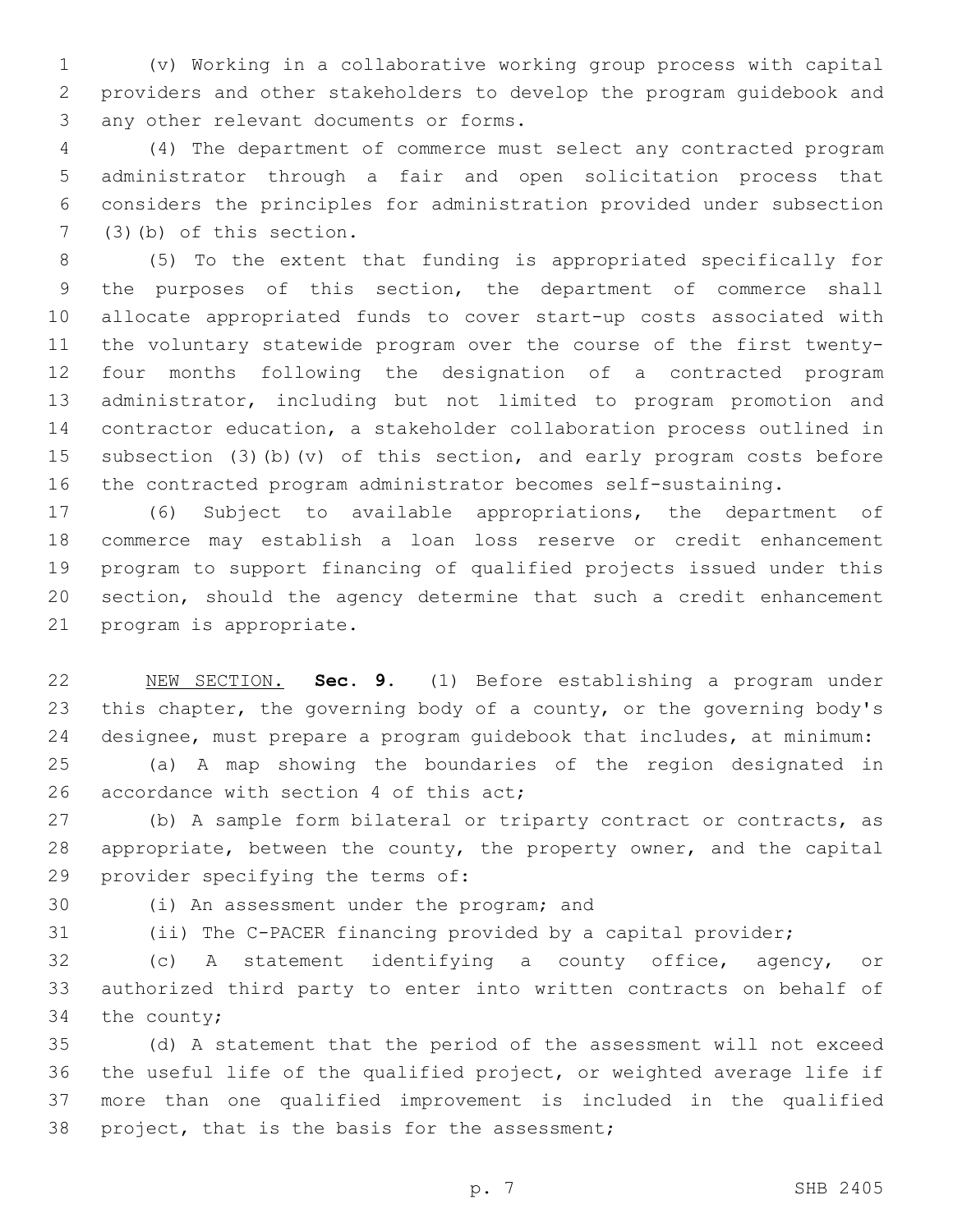(v) Working in a collaborative working group process with capital providers and other stakeholders to develop the program guidebook and 3 any other relevant documents or forms.

 (4) The department of commerce must select any contracted program administrator through a fair and open solicitation process that considers the principles for administration provided under subsection  $(3)(b)$  of this section.

 (5) To the extent that funding is appropriated specifically for the purposes of this section, the department of commerce shall allocate appropriated funds to cover start-up costs associated with the voluntary statewide program over the course of the first twenty- four months following the designation of a contracted program administrator, including but not limited to program promotion and contractor education, a stakeholder collaboration process outlined in subsection (3)(b)(v) of this section, and early program costs before the contracted program administrator becomes self-sustaining.

 (6) Subject to available appropriations, the department of commerce may establish a loan loss reserve or credit enhancement program to support financing of qualified projects issued under this section, should the agency determine that such a credit enhancement 21 program is appropriate.

 NEW SECTION. **Sec. 9.** (1) Before establishing a program under 23 this chapter, the governing body of a county, or the governing body's designee, must prepare a program guidebook that includes, at minimum: (a) A map showing the boundaries of the region designated in

26 accordance with section 4 of this act;

27 (b) A sample form bilateral or triparty contract or contracts, as 28 appropriate, between the county, the property owner, and the capital 29 provider specifying the terms of:

30 (i) An assessment under the program; and

(ii) The C-PACER financing provided by a capital provider;

 (c) A statement identifying a county office, agency, or authorized third party to enter into written contracts on behalf of the county;

 (d) A statement that the period of the assessment will not exceed the useful life of the qualified project, or weighted average life if more than one qualified improvement is included in the qualified 38 project, that is the basis for the assessment;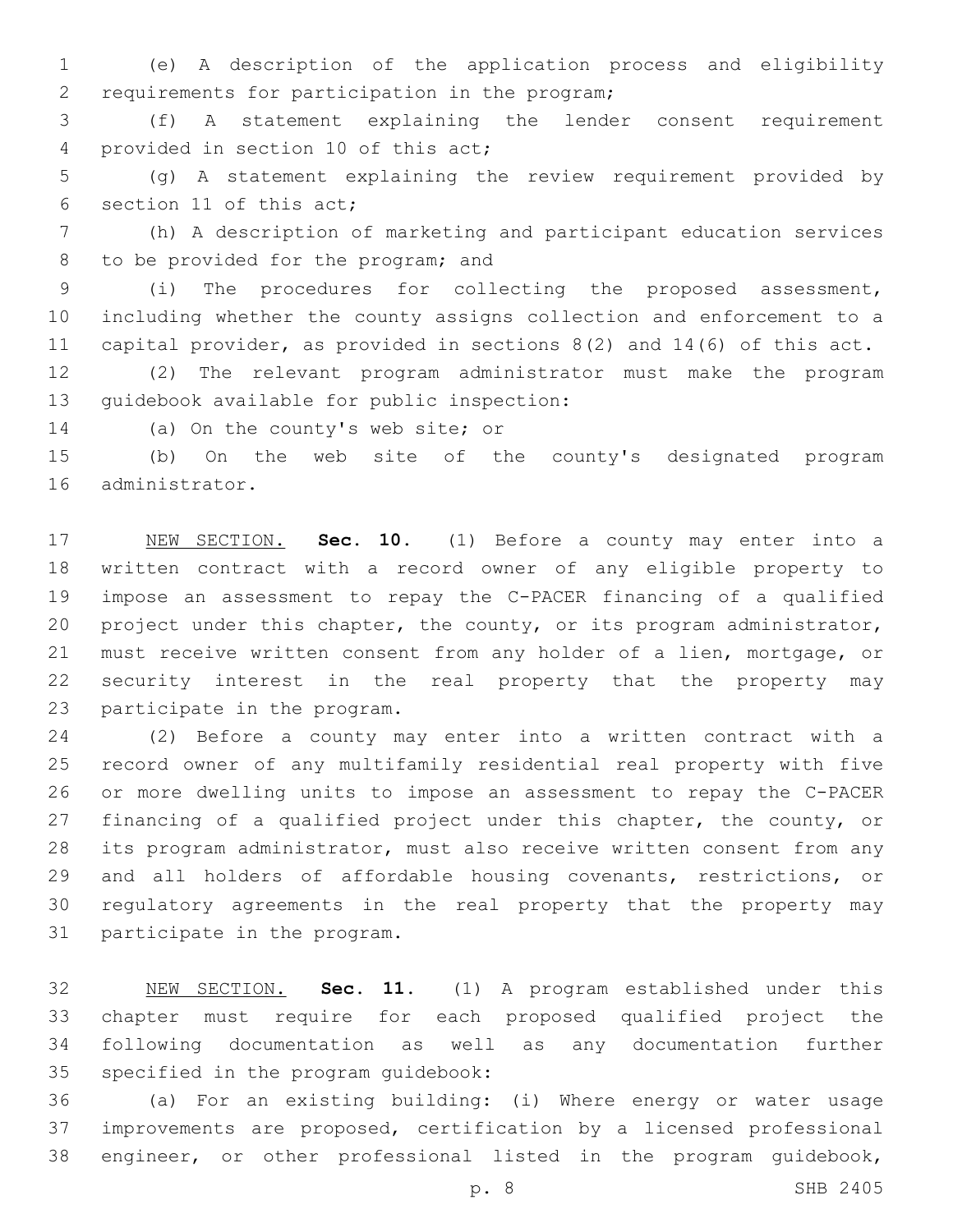(e) A description of the application process and eligibility 2 requirements for participation in the program;

 (f) A statement explaining the lender consent requirement 4 provided in section 10 of this act;

 (g) A statement explaining the review requirement provided by 6 section 11 of this act;

 (h) A description of marketing and participant education services 8 to be provided for the program; and

 (i) The procedures for collecting the proposed assessment, including whether the county assigns collection and enforcement to a capital provider, as provided in sections 8(2) and 14(6) of this act.

 (2) The relevant program administrator must make the program 13 quidebook available for public inspection:

14 (a) On the county's web site; or

 (b) On the web site of the county's designated program 16 administrator.

 NEW SECTION. **Sec. 10.** (1) Before a county may enter into a written contract with a record owner of any eligible property to impose an assessment to repay the C-PACER financing of a qualified project under this chapter, the county, or its program administrator, must receive written consent from any holder of a lien, mortgage, or security interest in the real property that the property may participate in the program.

 (2) Before a county may enter into a written contract with a record owner of any multifamily residential real property with five or more dwelling units to impose an assessment to repay the C-PACER financing of a qualified project under this chapter, the county, or its program administrator, must also receive written consent from any and all holders of affordable housing covenants, restrictions, or regulatory agreements in the real property that the property may 31 participate in the program.

 NEW SECTION. **Sec. 11.** (1) A program established under this chapter must require for each proposed qualified project the following documentation as well as any documentation further specified in the program guidebook:

 (a) For an existing building: (i) Where energy or water usage improvements are proposed, certification by a licensed professional engineer, or other professional listed in the program guidebook,

p. 8 SHB 2405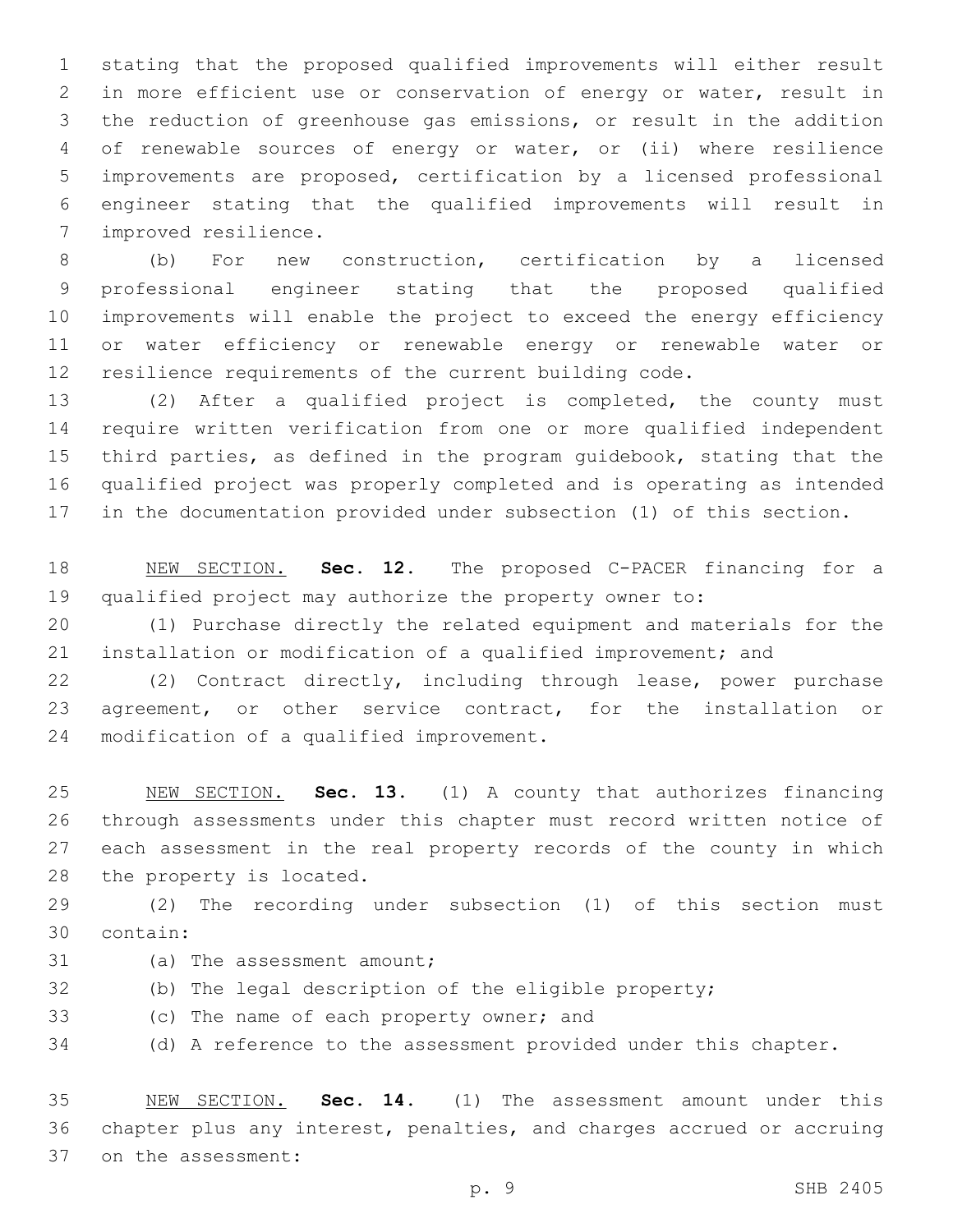stating that the proposed qualified improvements will either result in more efficient use or conservation of energy or water, result in the reduction of greenhouse gas emissions, or result in the addition of renewable sources of energy or water, or (ii) where resilience improvements are proposed, certification by a licensed professional engineer stating that the qualified improvements will result in 7 improved resilience.

 (b) For new construction, certification by a licensed professional engineer stating that the proposed qualified improvements will enable the project to exceed the energy efficiency or water efficiency or renewable energy or renewable water or resilience requirements of the current building code.

 (2) After a qualified project is completed, the county must require written verification from one or more qualified independent third parties, as defined in the program guidebook, stating that the qualified project was properly completed and is operating as intended in the documentation provided under subsection (1) of this section.

 NEW SECTION. **Sec. 12.** The proposed C-PACER financing for a qualified project may authorize the property owner to:

 (1) Purchase directly the related equipment and materials for the installation or modification of a qualified improvement; and

 (2) Contract directly, including through lease, power purchase agreement, or other service contract, for the installation or 24 modification of a qualified improvement.

 NEW SECTION. **Sec. 13.** (1) A county that authorizes financing through assessments under this chapter must record written notice of each assessment in the real property records of the county in which the property is located.

 (2) The recording under subsection (1) of this section must contain:30

- 31 (a) The assessment amount;
- (b) The legal description of the eligible property;
- 33 (c) The name of each property owner; and

(d) A reference to the assessment provided under this chapter.

 NEW SECTION. **Sec. 14.** (1) The assessment amount under this chapter plus any interest, penalties, and charges accrued or accruing on the assessment: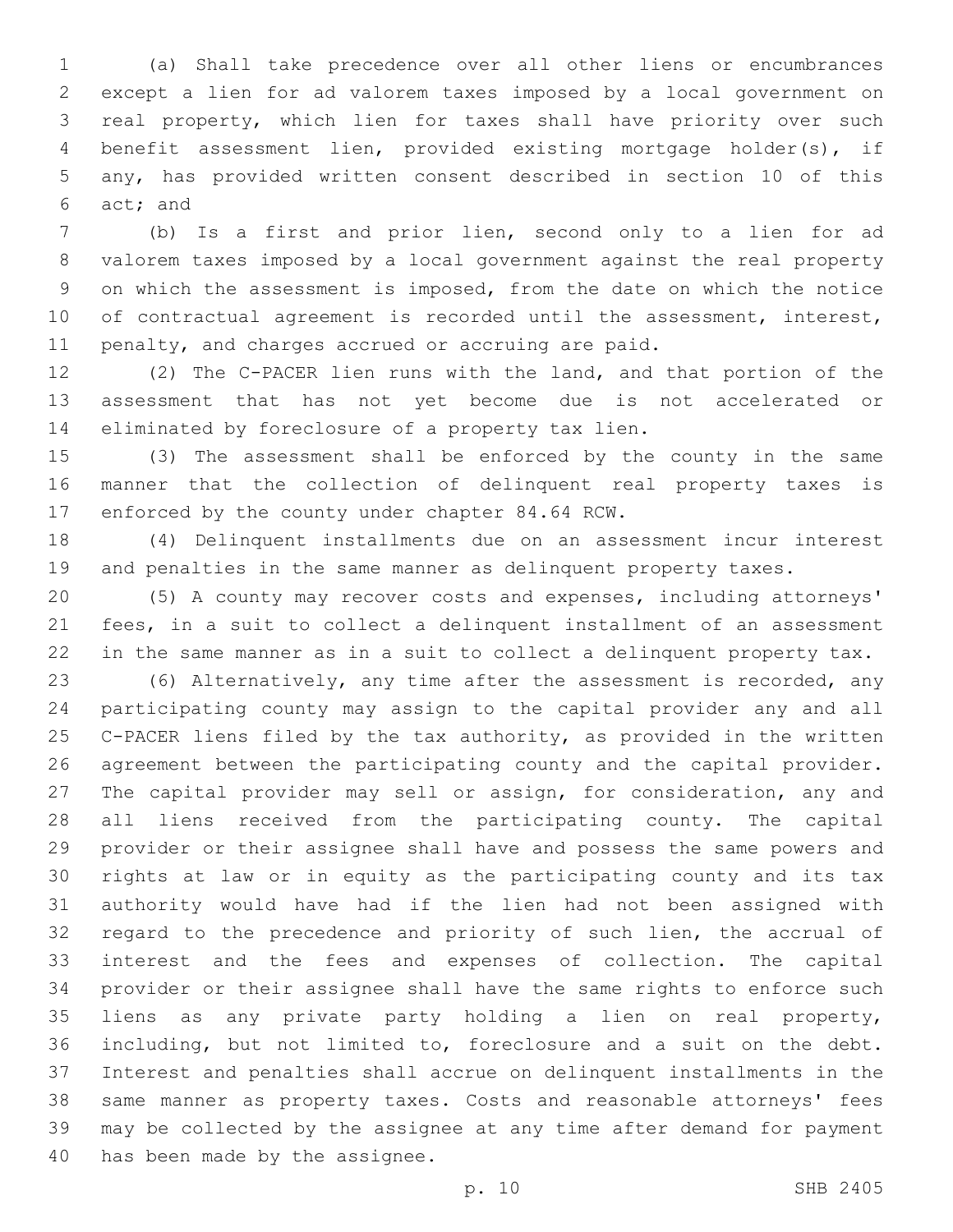(a) Shall take precedence over all other liens or encumbrances except a lien for ad valorem taxes imposed by a local government on real property, which lien for taxes shall have priority over such benefit assessment lien, provided existing mortgage holder(s), if any, has provided written consent described in section 10 of this 6 act; and

 (b) Is a first and prior lien, second only to a lien for ad valorem taxes imposed by a local government against the real property on which the assessment is imposed, from the date on which the notice of contractual agreement is recorded until the assessment, interest, penalty, and charges accrued or accruing are paid.

 (2) The C-PACER lien runs with the land, and that portion of the assessment that has not yet become due is not accelerated or 14 eliminated by foreclosure of a property tax lien.

 (3) The assessment shall be enforced by the county in the same manner that the collection of delinquent real property taxes is 17 enforced by the county under chapter 84.64 RCW.

 (4) Delinquent installments due on an assessment incur interest and penalties in the same manner as delinquent property taxes.

 (5) A county may recover costs and expenses, including attorneys' fees, in a suit to collect a delinquent installment of an assessment in the same manner as in a suit to collect a delinquent property tax.

 (6) Alternatively, any time after the assessment is recorded, any participating county may assign to the capital provider any and all C-PACER liens filed by the tax authority, as provided in the written agreement between the participating county and the capital provider. The capital provider may sell or assign, for consideration, any and all liens received from the participating county. The capital provider or their assignee shall have and possess the same powers and rights at law or in equity as the participating county and its tax authority would have had if the lien had not been assigned with regard to the precedence and priority of such lien, the accrual of interest and the fees and expenses of collection. The capital provider or their assignee shall have the same rights to enforce such liens as any private party holding a lien on real property, including, but not limited to, foreclosure and a suit on the debt. Interest and penalties shall accrue on delinquent installments in the same manner as property taxes. Costs and reasonable attorneys' fees may be collected by the assignee at any time after demand for payment 40 has been made by the assignee.